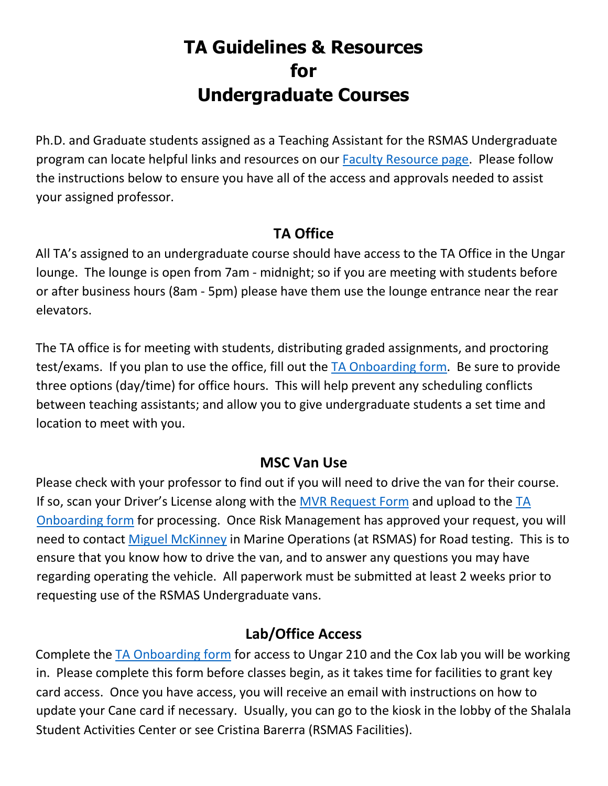# **TA Guidelines & Resources for Undergraduate Courses**

Ph.D. and Graduate students assigned as a Teaching Assistant for the RSMAS Undergraduate program can locate helpful links and resources on our [Faculty Resource page.](https://undergraduate.rsmas.miami.edu/resources/faculty/index.html) Please follow the instructions below to ensure you have all of the access and approvals needed to assist your assigned professor.

#### **TA Office**

All TA's assigned to an undergraduate course should have access to the TA Office in the Ungar lounge. The lounge is open from 7am - midnight; so if you are meeting with students before or after business hours (8am - 5pm) please have them use the lounge entrance near the rear elevators.

The TA office is for meeting with students, distributing graded assignments, and proctoring test/exams. If you plan to use the office, fill out the [TA Onboarding form.](https://umiami.qualtrics.com/jfe/form/SV_3Q0t6d1NaBFoPfT) Be sure to provide three options (day/time) for office hours. This will help prevent any scheduling conflicts between teaching assistants; and allow you to give undergraduate students a set time and location to meet with you.

#### **MSC Van Use**

Please check with your professor to find out if you will need to drive the van for their course. If so, scan your Driver's License along with the  $MVR$  Request Form and upload to the  $TA$ [Onboarding form](https://umiami.qualtrics.com/jfe/form/SV_3Q0t6d1NaBFoPfT) for processing. Once Risk Management has approved your request, you will need to contact [Miguel McKinney](mailto:mmckinney@rsmas.miami.edu) in Marine Operations (at RSMAS) for Road testing. This is to ensure that you know how to drive the van, and to answer any questions you may have regarding operating the vehicle. All paperwork must be submitted at least 2 weeks prior to requesting use of the RSMAS Undergraduate vans.

#### **Lab/Office Access**

Complete the [TA Onboarding form](https://umiami.qualtrics.com/jfe/form/SV_3Q0t6d1NaBFoPfT) for access to Ungar 210 and the Cox lab you will be working in. Please complete this form before classes begin, as it takes time for facilities to grant key card access. Once you have access, you will receive an email with instructions on how to update your Cane card if necessary. Usually, you can go to the kiosk in the lobby of the Shalala Student Activities Center or see Cristina Barerra (RSMAS Facilities).